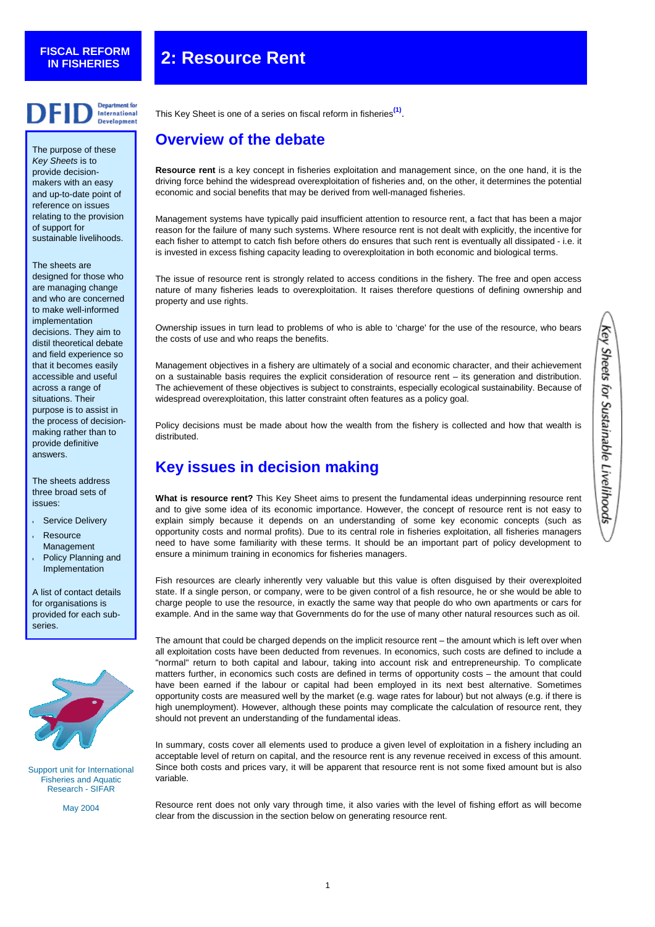# **FISCAL REFORM**

# **IN FISHERIES 2: Resource Rent**



The purpose of these *Key Sheets* is to provide decisionmakers with an easy and up-to-date point of reference on issues relating to the provision of support for sustainable livelihoods.

The sheets are designed for those who are managing change and who are concerned to make well-informed implementation decisions. They aim to distil theoretical debate and field experience so that it becomes easily accessible and useful across a range of situations. Their purpose is to assist in the process of decisionmaking rather than to provide definitive answers.

The sheets address three broad sets of issues:

- **•** Service Delivery
- **•** Resource Management
- **•** Policy Planning and Implementation

A list of contact details for organisations is provided for each subseries.



Support unit for International Fisheries and Aquatic Research - SIFAR

May 2004

This Key Sheet is one of a series on fiscal reform in fisheries **[\(1\)](#page-2-0)**.

### **Overview of the debate**

**Resource rent** is a key concept in fisheries exploitation and management since, on the one hand, it is the driving force behind the widespread overexploitation of fisheries and, on the other, it determines the potential economic and social benefits that may be derived from well-managed fisheries.

Management systems have typically paid insufficient attention to resource rent, a fact that has been a major reason for the failure of many such systems. Where resource rent is not dealt with explicitly, the incentive for each fisher to attempt to catch fish before others do ensures that such rent is eventually all dissipated - i.e. it is invested in excess fishing capacity leading to overexploitation in both economic and biological terms.

The issue of resource rent is strongly related to access conditions in the fishery. The free and open access nature of many fisheries leads to overexploitation. It raises therefore questions of defining ownership and property and use rights.

Ownership issues in turn lead to problems of who is able to 'charge' for the use of the resource, who bears the costs of use and who reaps the benefits.

Management objectives in a fishery are ultimately of a social and economic character, and their achievement on a sustainable basis requires the explicit consideration of resource rent – its generation and distribution. The achievement of these objectives is subject to constraints, especially ecological sustainability. Because of widespread overexploitation, this latter constraint often features as a policy goal.

Policy decisions must be made about how the wealth from the fishery is collected and how that wealth is distributed.

# **Key issues in decision making**

**What is resource rent?** This Key Sheet aims to present the fundamental ideas underpinning resource rent and to give some idea of its economic importance. However, the concept of resource rent is not easy to explain simply because it depends on an understanding of some key economic concepts (such as opportunity costs and normal profits). Due to its central role in fisheries exploitation, all fisheries managers need to have some familiarity with these terms. It should be an important part of policy development to ensure a minimum training in economics for fisheries managers.

Fish resources are clearly inherently very valuable but this value is often disguised by their overexploited state. If a single person, or company, were to be given control of a fish resource, he or she would be able to charge people to use the resource, in exactly the same way that people do who own apartments or cars for example. And in the same way that Governments do for the use of many other natural resources such as oil.

The amount that could be charged depends on the implicit resource rent – the amount which is left over when all exploitation costs have been deducted from revenues. In economics, such costs are defined to include a "normal" return to both capital and labour, taking into account risk and entrepreneurship. To complicate matters further, in economics such costs are defined in terms of opportunity costs – the amount that could have been earned if the labour or capital had been employed in its next best alternative. Sometimes opportunity costs are measured well by the market (e.g. wage rates for labour) but not always (e.g. if there is high unemployment). However, although these points may complicate the calculation of resource rent, they should not prevent an understanding of the fundamental ideas.

In summary, costs cover all elements used to produce a given level of exploitation in a fishery including an acceptable level of return on capital, and the resource rent is any revenue received in excess of this amount. Since both costs and prices vary, it will be apparent that resource rent is not some fixed amount but is also variable.

Resource rent does not only vary through time, it also varies with the level of fishing effort as will become clear from the discussion in the section below on generating resource rent.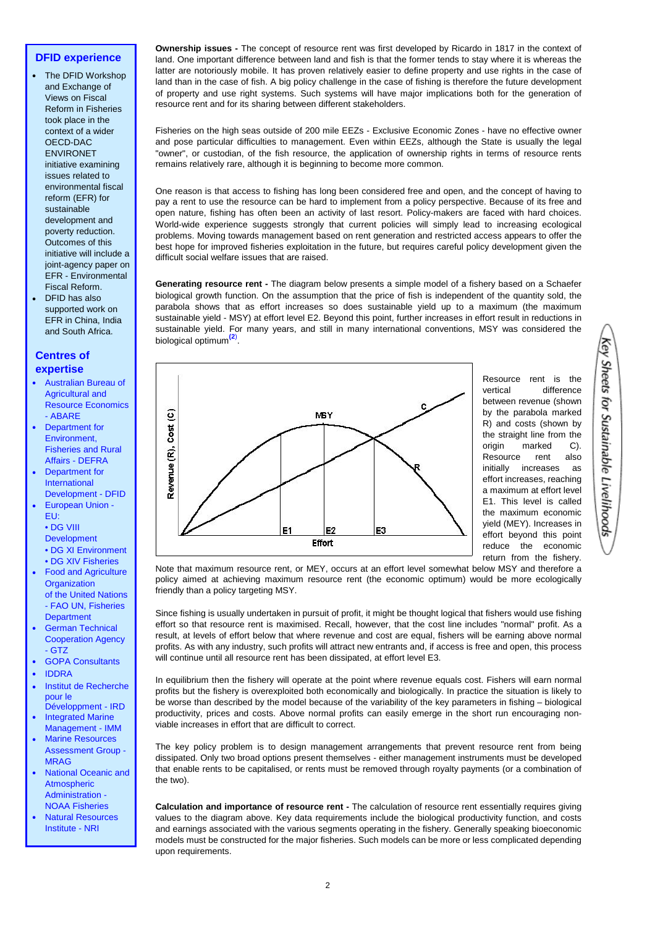#### **DFID experience**

- **[•](http://europa.eu.int/comm/development/index_en.htm)** The DFID Workshop and Exchange of Views on Fiscal Reform in Fisheries took place in the context of a wider OECD-DAC ENVIRONET initiative examining issues related to environmental fiscal reform (EFR) for sustainable development and poverty reduction. Outcomes of this initiative will include a joint-agency paper on EFR - Environmental Fiscal Reform.
- **[•](http://europa.eu.int/comm/development/index_en.htm)** DFID has also supported work on EFR in China, India and South Africa.

#### **Centres of expertise**

- **[•](http://europa.eu.int/comm/development/index_en.htm)** [Australian Bureau of](http://www.abare.gov.au/research/fisheries/fisheries.html) [Agricultural and](http://www.abare.gov.au/research/fisheries/fisheries.html)  [Resource Economics](http://www.abare.gov.au/research/fisheries/fisheries.html) [- ABARE](http://www.abare.gov.au/research/fisheries/fisheries.html)
- **[•](http://europa.eu.int/comm/development/index_en.htm)** [Department for](http://www.defra.gov.uk/fish/fishindx.htm)  [Environment,](http://www.defra.gov.uk/fish/fishindx.htm) [Fisheries and Rural](http://www.defra.gov.uk/fish/fishindx.htm) [Affairs - DEFRA](http://www.defra.gov.uk/fish/fishindx.htm)
- **[•](http://europa.eu.int/comm/development/index_en.htm)** [Department for](http://www.dfid.gov.uk/)  [International](http://www.dfid.gov.uk/) [Development - DFID](http://www.dfid.gov.uk/)
- **[•](http://europa.eu.int/comm/development/index_en.htm)** European Union EU:
- [•](http://europa.eu.int/comm/development/index_en.htm) [DG VIII](http://europa.eu.int/comm/development/index_en.htm)
- [Development](http://europa.eu.int/comm/development/index_en.htm)
- [•](http://europa.eu.int/comm/development/index_en.htm) [DG XI Environment](http://europa.eu.int/comm/dgs/environment/index_en.htm)
- [•](http://europa.eu.int/comm/development/index_en.htm) [DG XIV Fisheries](http://europa.eu.int/comm/dgs/fisheries/index_en.htm) **[•](http://europa.eu.int/comm/development/index_en.htm)** [Food and Agriculture](http://www.fao.org/fi/default_all.asp)  **Organization**
- [of the United Nations](http://www.fao.org/fi/default_all.asp) [- FAO UN, Fisheries](http://www.fao.org/fi/default_all.asp) **[Department](http://www.fao.org/fi/default_all.asp)**
- **[•](http://europa.eu.int/comm/development/index_en.htm)** [German Technical](http://www.gtz.de/english/index.asp) [Cooperation Agency](http://www.gtz.de/english/index.asp)  [- GTZ](http://www.gtz.de/english/index.asp)
- **[•](http://europa.eu.int/comm/development/index_en.htm)** [GOPA](http://www.gopa.de/en/corp/index.html) Consultants
- **[•](http://europa.eu.int/comm/development/index_en.htm)** [IDDRA](http://www.solenthub.co.uk/pages/iddraportsmouth.html)
- **[•](http://europa.eu.int/comm/development/index_en.htm)** [Institut de Recherche](http://www.ird.fr/)  [pour le](http://www.ird.fr/) [Développment - IRD](http://www.ird.fr/)
- **[•](http://europa.eu.int/comm/development/index_en.htm)** [Integrated Marine](http://www.exeter.ac.uk/imm/)  [Management](http://www.exeter.ac.uk/imm/) - IMM
- **[•](http://europa.eu.int/comm/development/index_en.htm)** [Marine Resources](http://www.mragltd.com/) [Assessment Group -](http://www.mragltd.com/)  [MRAG](http://www.mragltd.com/)
- **[•](http://europa.eu.int/comm/development/index_en.htm)** [National Oceanic and](http://www.noaa.gov/fisheries.html)  **[Atmospheric](http://www.noaa.gov/fisheries.html)** [Administration -](http://www.noaa.gov/fisheries.html)  [NOAA Fisheries](http://www.noaa.gov/fisheries.html)
- **[•](http://europa.eu.int/comm/development/index_en.htm)** [Natural Resources](http://www.nri.org/)  [Institute - NRI](http://www.nri.org/)

**Ownership issues -** The concept of resource rent was first developed by Ricardo in 1817 in the context of land. One important difference between land and fish is that the former tends to stay where it is whereas the latter are notoriously mobile. It has proven relatively easier to define property and use rights in the case of land than in the case of fish. A big policy challenge in the case of fishing is therefore the future development of property and use right systems. Such systems will have major implications both for the generation of resource rent and for its sharing between different stakeholders.

Fisheries on the high seas outside of 200 mile EEZs - Exclusive Economic Zones - have no effective owner and pose particular difficulties to management. Even within EEZs, although the State is usually the legal "owner", or custodian, of the fish resource, the application of ownership rights in terms of resource rents remains relatively rare, although it is beginning to become more common.

One reason is that access to fishing has long been considered free and open, and the concept of having to pay a rent to use the resource can be hard to implement from a policy perspective. Because of its free and open nature, fishing has often been an activity of last resort. Policy-makers are faced with hard choices. World-wide experience suggests strongly that current policies will simply lead to increasing ecological problems. Moving towards management based on rent generation and restricted access appears to offer the best hope for improved fisheries exploitation in the future, but requires careful policy development given the difficult social welfare issues that are raised.

**Generating resource rent -** The diagram below presents a simple model of a fishery based on a Schaefer biological growth function. On the assumption that the price of fish is independent of the quantity sold, the parabola shows that as effort increases so does sustainable yield up to a maximum (the maximum sustainable yield - MSY) at effort level E2. Beyond this point, further increases in effort result in reductions in sustainable yield. For many years, and still in many international conventions, MSY was considered the biological optimum**[\(2](#page-2-0)**) .



Resource rent is the vertical difference between revenue (shown by the parabola marked R) and costs (shown by the straight line from the origin marked C). Resource rent also initially increases as effort increases, reaching a maximum at effort level E1. This level is called the maximum economic yield (MEY). Increases in effort beyond this point reduce the economic return from the fishery.

Note that maximum resource rent, or MEY, occurs at an effort level somewhat below MSY and therefore a policy aimed at achieving maximum resource rent (the economic optimum) would be more ecologically friendly than a policy targeting MSY.

Since fishing is usually undertaken in pursuit of profit, it might be thought logical that fishers would use fishing effort so that resource rent is maximised. Recall, however, that the cost line includes "normal" profit. As a result, at levels of effort below that where revenue and cost are equal, fishers will be earning above normal profits. As with any industry, such profits will attract new entrants and, if access is free and open, this process will continue until all resource rent has been dissipated, at effort level E3.

In equilibrium then the fishery will operate at the point where revenue equals cost. Fishers will earn normal profits but the fishery is overexploited both economically and biologically. In practice the situation is likely to be worse than described by the model because of the variability of the key parameters in fishing – biological productivity, prices and costs. Above normal profits can easily emerge in the short run encouraging nonviable increases in effort that are difficult to correct.

The key policy problem is to design management arrangements that prevent resource rent from being dissipated. Only two broad options present themselves - either management instruments must be developed that enable rents to be capitalised, or rents must be removed through royalty payments (or a combination of the two).

**Calculation and importance of resource rent -** The calculation of resource rent essentially requires giving values to the diagram above. Key data requirements include the biological productivity function, and costs and earnings associated with the various segments operating in the fishery. Generally speaking bioeconomic models must be constructed for the major fisheries. Such models can be more or less complicated depending upon requirements.